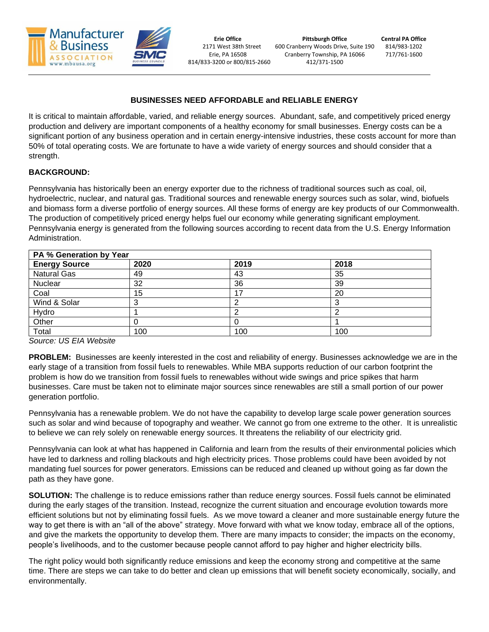

## **BUSINESSES NEED AFFORDABLE and RELIABLE ENERGY**

It is critical to maintain affordable, varied, and reliable energy sources. Abundant, safe, and competitively priced energy production and delivery are important components of a healthy economy for small businesses. Energy costs can be a significant portion of any business operation and in certain energy-intensive industries, these costs account for more than 50% of total operating costs. We are fortunate to have a wide variety of energy sources and should consider that a strength.

# **BACKGROUND:**

Pennsylvania has historically been an energy exporter due to the richness of traditional sources such as coal, oil, hydroelectric, nuclear, and natural gas. Traditional sources and renewable energy sources such as solar, wind, biofuels and biomass form a diverse portfolio of energy sources. All these forms of energy are key products of our Commonwealth. The production of competitively priced energy helps fuel our economy while generating significant employment. Pennsylvania energy is generated from the following sources according to recent data from the U.S. Energy Information Administration.

| PA % Generation by Year |      |      |      |
|-------------------------|------|------|------|
| <b>Energy Source</b>    | 2020 | 2019 | 2018 |
| <b>Natural Gas</b>      | 49   | 43   | 35   |
| Nuclear                 | 32   | 36   | 39   |
| Coal                    | 15   | 17   | 20   |
| Wind & Solar            |      | ◠    |      |
| Hydro                   |      | ◠    |      |
| Other                   |      | U    |      |
| Total                   | 100  | 100  | 100  |

*Source: US EIA Website*

**PROBLEM:** Businesses are keenly interested in the cost and reliability of energy. Businesses acknowledge we are in the early stage of a transition from fossil fuels to renewables. While MBA supports reduction of our carbon footprint the problem is how do we transition from fossil fuels to renewables without wide swings and price spikes that harm businesses. Care must be taken not to eliminate major sources since renewables are still a small portion of our power generation portfolio.

Pennsylvania has a renewable problem. We do not have the capability to develop large scale power generation sources such as solar and wind because of topography and weather. We cannot go from one extreme to the other. It is unrealistic to believe we can rely solely on renewable energy sources. It threatens the reliability of our electricity grid.

Pennsylvania can look at what has happened in California and learn from the results of their environmental policies which have led to darkness and rolling blackouts and high electricity prices. Those problems could have been avoided by not mandating fuel sources for power generators. Emissions can be reduced and cleaned up without going as far down the path as they have gone.

**SOLUTION:** The challenge is to reduce emissions rather than reduce energy sources. Fossil fuels cannot be eliminated during the early stages of the transition. Instead, recognize the current situation and encourage evolution towards more efficient solutions but not by eliminating fossil fuels. As we move toward a cleaner and more sustainable energy future the way to get there is with an "all of the above" strategy. Move forward with what we know today, embrace all of the options, and give the markets the opportunity to develop them. There are many impacts to consider; the impacts on the economy, people's livelihoods, and to the customer because people cannot afford to pay higher and higher electricity bills.

The right policy would both significantly reduce emissions and keep the economy strong and competitive at the same time. There are steps we can take to do better and clean up emissions that will benefit society economically, socially, and environmentally.